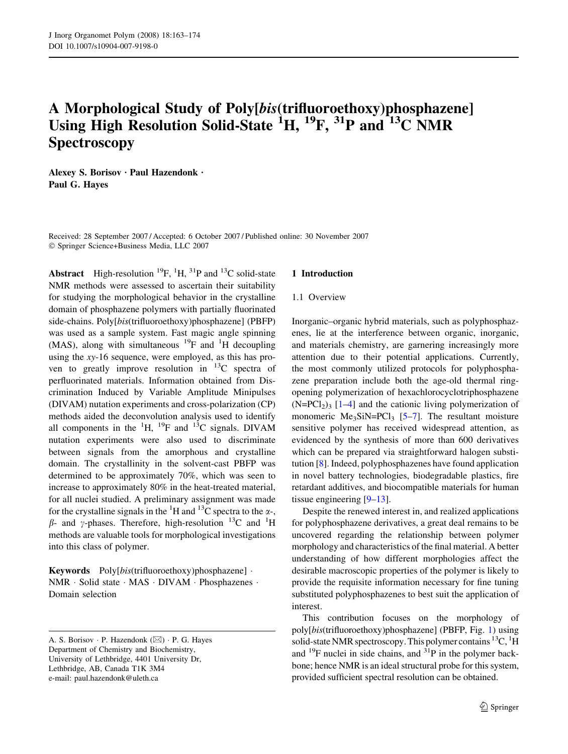# A Morphological Study of Poly[bis(trifluoroethoxy)phosphazene] Using High Resolution Solid-State <sup>1</sup>H, <sup>19</sup>F, <sup>31</sup>P and <sup>13</sup>C NMR **Spectroscopy**

Alexey S. Borisov · Paul Hazendonk · Paul G. Hayes

Received: 28 September 2007 / Accepted: 6 October 2007 / Published online: 30 November 2007 Springer Science+Business Media, LLC 2007

Abstract High-resolution  ${}^{19}F$ ,  ${}^{1}H$ ,  ${}^{31}P$  and  ${}^{13}C$  solid-state NMR methods were assessed to ascertain their suitability for studying the morphological behavior in the crystalline domain of phosphazene polymers with partially fluorinated side-chains. Poly[bis(trifluoroethoxy)phosphazene] (PBFP) was used as a sample system. Fast magic angle spinning (MAS), along with simultaneous  $^{19}$ F and <sup>1</sup>H decoupling using the  $xy-16$  sequence, were employed, as this has proven to greatly improve resolution in  $^{13}$ C spectra of perfluorinated materials. Information obtained from Discrimination Induced by Variable Amplitude Minipulses (DIVAM) nutation experiments and cross-polarization (CP) methods aided the deconvolution analysis used to identify all components in the  ${}^{1}H$ ,  ${}^{19}F$  and  ${}^{13}C$  signals. DIVAM nutation experiments were also used to discriminate between signals from the amorphous and crystalline domain. The crystallinity in the solvent-cast PBFP was determined to be approximately 70%, which was seen to increase to approximately 80% in the heat-treated material, for all nuclei studied. A preliminary assignment was made for the crystalline signals in the  ${}^{1}H$  and  ${}^{13}C$  spectra to the  $\alpha$ -,  $\beta$ - and  $\gamma$ -phases. Therefore, high-resolution <sup>13</sup>C and <sup>1</sup>H methods are valuable tools for morphological investigations into this class of polymer.

Keywords Poly[bis(trifluoroethoxy)phosphazene] . NMR · Solid state · MAS · DIVAM · Phosphazenes · Domain selection

### 1 Introduction

### 1.1 Overview

Inorganic–organic hybrid materials, such as polyphosphazenes, lie at the interference between organic, inorganic, and materials chemistry, are garnering increasingly more attention due to their potential applications. Currently, the most commonly utilized protocols for polyphosphazene preparation include both the age-old thermal ringopening polymerization of hexachlorocyclotriphosphazene  $(N=PCl<sub>2</sub>)<sub>3</sub>$  [[1–4\]](#page-10-0) and the cationic living polymerization of monomeric  $Me<sub>3</sub>SiN=PCl<sub>3</sub>$  [[5–7](#page-10-0)]. The resultant moisture sensitive polymer has received widespread attention, as evidenced by the synthesis of more than 600 derivatives which can be prepared via straightforward halogen substitution [[8\]](#page-10-0). Indeed, polyphosphazenes have found application in novel battery technologies, biodegradable plastics, fire retardant additives, and biocompatible materials for human tissue engineering [[9–](#page-10-0)[13\]](#page-11-0).

Despite the renewed interest in, and realized applications for polyphosphazene derivatives, a great deal remains to be uncovered regarding the relationship between polymer morphology and characteristics of the final material. A better understanding of how different morphologies affect the desirable macroscopic properties of the polymer is likely to provide the requisite information necessary for fine tuning substituted polyphosphazenes to best suit the application of interest.

This contribution focuses on the morphology of poly[bis(trifluoroethoxy)phosphazene] (PBFP, Fig. [1\)](#page-1-0) using solid-state NMR spectroscopy. This polymer contains  $^{13}C$ ,  $^{1}H$ and  $^{19}$ F nuclei in side chains, and  $^{31}$ P in the polymer backbone; hence NMR is an ideal structural probe for this system, provided sufficient spectral resolution can be obtained.

A. S. Borisov · P. Hazendonk ( $\boxtimes$ ) · P. G. Hayes Department of Chemistry and Biochemistry, University of Lethbridge, 4401 University Dr, Lethbridge, AB, Canada T1K 3M4 e-mail: paul.hazendonk@uleth.ca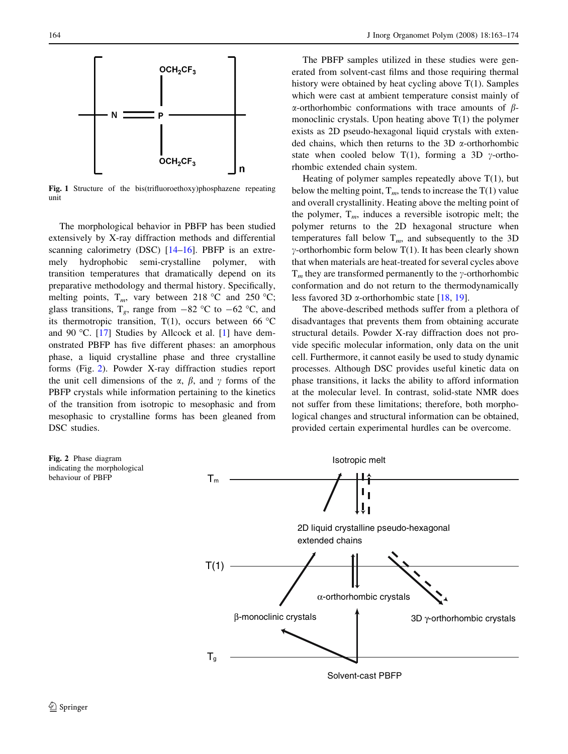<span id="page-1-0"></span>

Fig. 1 Structure of the bis(trifluoroethoxy)phosphazene repeating unit

The morphological behavior in PBFP has been studied extensively by X-ray diffraction methods and differential scanning calorimetry (DSC) [[14–16](#page-11-0)]. PBFP is an extremely hydrophobic semi-crystalline polymer, with transition temperatures that dramatically depend on its preparative methodology and thermal history. Specifically, melting points,  $T_m$ , vary between 218 °C and 250 °C; glass transitions,  $T_g$ , range from  $-82$  °C to  $-62$  °C, and its thermotropic transition,  $T(1)$ , occurs between 66 °C and 90 °C. [[17\]](#page-11-0) Studies by Allcock et al. [[1\]](#page-10-0) have demonstrated PBFP has five different phases: an amorphous phase, a liquid crystalline phase and three crystalline forms (Fig. 2). Powder X-ray diffraction studies report the unit cell dimensions of the  $\alpha$ ,  $\beta$ , and  $\gamma$  forms of the PBFP crystals while information pertaining to the kinetics of the transition from isotropic to mesophasic and from mesophasic to crystalline forms has been gleaned from DSC studies.

The PBFP samples utilized in these studies were generated from solvent-cast films and those requiring thermal history were obtained by heat cycling above  $T(1)$ . Samples which were cast at ambient temperature consist mainly of  $\alpha$ -orthorhombic conformations with trace amounts of  $\beta$ monoclinic crystals. Upon heating above T(1) the polymer exists as 2D pseudo-hexagonal liquid crystals with extended chains, which then returns to the 3D  $\alpha$ -orthorhombic state when cooled below T(1), forming a 3D  $\gamma$ -orthorhombic extended chain system.

Heating of polymer samples repeatedly above  $T(1)$ , but below the melting point,  $T_m$ , tends to increase the T(1) value and overall crystallinity. Heating above the melting point of the polymer,  $T_m$ , induces a reversible isotropic melt; the polymer returns to the 2D hexagonal structure when temperatures fall below  $T_m$ , and subsequently to the 3D  $\gamma$ -orthorhombic form below T(1). It has been clearly shown that when materials are heat-treated for several cycles above  $T_m$  they are transformed permanently to the y-orthorhombic conformation and do not return to the thermodynamically less favored 3D  $\alpha$ -orthorhombic state [[18,](#page-11-0) [19\]](#page-11-0).

The above-described methods suffer from a plethora of disadvantages that prevents them from obtaining accurate structural details. Powder X-ray diffraction does not provide specific molecular information, only data on the unit cell. Furthermore, it cannot easily be used to study dynamic processes. Although DSC provides useful kinetic data on phase transitions, it lacks the ability to afford information at the molecular level. In contrast, solid-state NMR does not suffer from these limitations; therefore, both morphological changes and structural information can be obtained, provided certain experimental hurdles can be overcome.



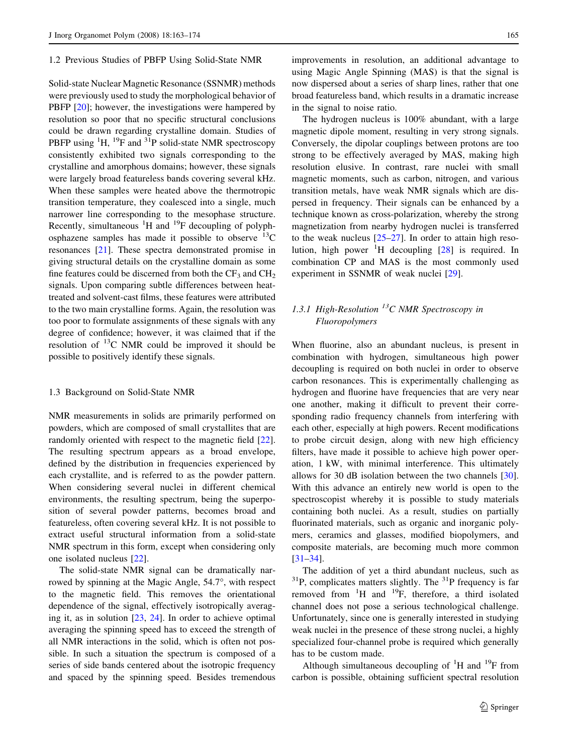#### 1.2 Previous Studies of PBFP Using Solid-State NMR

Solid-state Nuclear Magnetic Resonance (SSNMR) methods were previously used to study the morphological behavior of PBFP [[20\]](#page-11-0); however, the investigations were hampered by resolution so poor that no specific structural conclusions could be drawn regarding crystalline domain. Studies of PBFP using  ${}^{1}H$ ,  ${}^{19}F$  and  ${}^{31}P$  solid-state NMR spectroscopy consistently exhibited two signals corresponding to the crystalline and amorphous domains; however, these signals were largely broad featureless bands covering several kHz. When these samples were heated above the thermotropic transition temperature, they coalesced into a single, much narrower line corresponding to the mesophase structure. Recently, simultaneous  ${}^{1}H$  and  ${}^{19}F$  decoupling of polyphosphazene samples has made it possible to observe  $^{13}$ C resonances [\[21\]](#page-11-0). These spectra demonstrated promise in giving structural details on the crystalline domain as some fine features could be discerned from both the  $CF_3$  and  $CH_2$ signals. Upon comparing subtle differences between heattreated and solvent-cast films, these features were attributed to the two main crystalline forms. Again, the resolution was too poor to formulate assignments of these signals with any degree of confidence; however, it was claimed that if the resolution of  $^{13}$ C NMR could be improved it should be possible to positively identify these signals.

#### 1.3 Background on Solid-State NMR

NMR measurements in solids are primarily performed on powders, which are composed of small crystallites that are randomly oriented with respect to the magnetic field [\[22](#page-11-0)]. The resulting spectrum appears as a broad envelope, defined by the distribution in frequencies experienced by each crystallite, and is referred to as the powder pattern. When considering several nuclei in different chemical environments, the resulting spectrum, being the superposition of several powder patterns, becomes broad and featureless, often covering several kHz. It is not possible to extract useful structural information from a solid-state NMR spectrum in this form, except when considering only one isolated nucleus [[22\]](#page-11-0).

The solid-state NMR signal can be dramatically narrowed by spinning at the Magic Angle, 54.7°, with respect to the magnetic field. This removes the orientational dependence of the signal, effectively isotropically averaging it, as in solution [\[23](#page-11-0), [24](#page-11-0)]. In order to achieve optimal averaging the spinning speed has to exceed the strength of all NMR interactions in the solid, which is often not possible. In such a situation the spectrum is composed of a series of side bands centered about the isotropic frequency and spaced by the spinning speed. Besides tremendous improvements in resolution, an additional advantage to using Magic Angle Spinning (MAS) is that the signal is now dispersed about a series of sharp lines, rather that one broad featureless band, which results in a dramatic increase in the signal to noise ratio.

The hydrogen nucleus is 100% abundant, with a large magnetic dipole moment, resulting in very strong signals. Conversely, the dipolar couplings between protons are too strong to be effectively averaged by MAS, making high resolution elusive. In contrast, rare nuclei with small magnetic moments, such as carbon, nitrogen, and various transition metals, have weak NMR signals which are dispersed in frequency. Their signals can be enhanced by a technique known as cross-polarization, whereby the strong magnetization from nearby hydrogen nuclei is transferred to the weak nucleus  $[25-27]$ . In order to attain high resolution, high power  ${}^{1}H$  decoupling [[28\]](#page-11-0) is required. In combination CP and MAS is the most commonly used experiment in SSNMR of weak nuclei [[29\]](#page-11-0).

# 1.3.1 High-Resolution  $^{13}$ C NMR Spectroscopy in Fluoropolymers

When fluorine, also an abundant nucleus, is present in combination with hydrogen, simultaneous high power decoupling is required on both nuclei in order to observe carbon resonances. This is experimentally challenging as hydrogen and fluorine have frequencies that are very near one another, making it difficult to prevent their corresponding radio frequency channels from interfering with each other, especially at high powers. Recent modifications to probe circuit design, along with new high efficiency filters, have made it possible to achieve high power operation, 1 kW, with minimal interference. This ultimately allows for 30 dB isolation between the two channels [\[30](#page-11-0)]. With this advance an entirely new world is open to the spectroscopist whereby it is possible to study materials containing both nuclei. As a result, studies on partially fluorinated materials, such as organic and inorganic polymers, ceramics and glasses, modified biopolymers, and composite materials, are becoming much more common [\[31–34](#page-11-0)].

The addition of yet a third abundant nucleus, such as  $31P$ , complicates matters slightly. The  $31P$  frequency is far removed from  ${}^{1}H$  and  ${}^{19}F$ , therefore, a third isolated channel does not pose a serious technological challenge. Unfortunately, since one is generally interested in studying weak nuclei in the presence of these strong nuclei, a highly specialized four-channel probe is required which generally has to be custom made.

Although simultaneous decoupling of  ${}^{1}H$  and  ${}^{19}F$  from carbon is possible, obtaining sufficient spectral resolution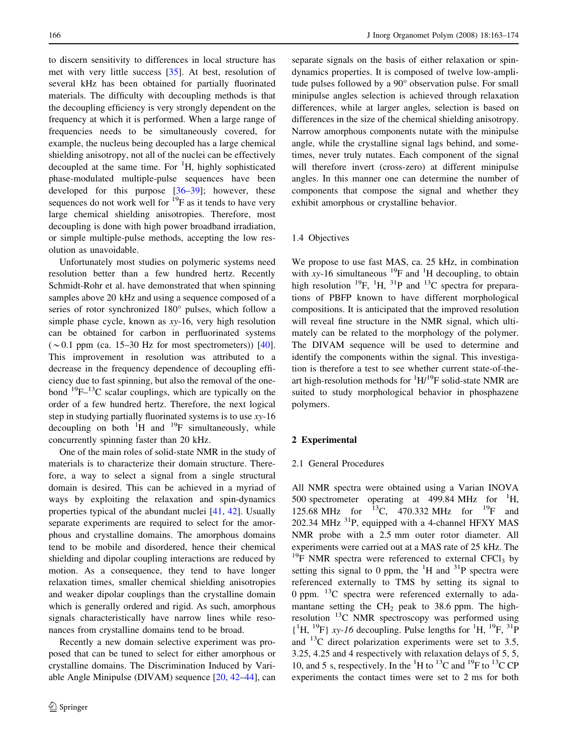to discern sensitivity to differences in local structure has met with very little success [\[35](#page-11-0)]. At best, resolution of several kHz has been obtained for partially fluorinated materials. The difficulty with decoupling methods is that the decoupling efficiency is very strongly dependent on the frequency at which it is performed. When a large range of frequencies needs to be simultaneously covered, for example, the nucleus being decoupled has a large chemical shielding anisotropy, not all of the nuclei can be effectively decoupled at the same time. For  ${}^{1}H$ , highly sophisticated phase-modulated multiple-pulse sequences have been developed for this purpose [[36–39\]](#page-11-0); however, these sequences do not work well for  $^{19}F$  as it tends to have very large chemical shielding anisotropies. Therefore, most decoupling is done with high power broadband irradiation, or simple multiple-pulse methods, accepting the low resolution as unavoidable.

Unfortunately most studies on polymeric systems need resolution better than a few hundred hertz. Recently Schmidt-Rohr et al. have demonstrated that when spinning samples above 20 kHz and using a sequence composed of a series of rotor synchronized 180° pulses, which follow a simple phase cycle, known as  $xy-16$ , very high resolution can be obtained for carbon in perfluorinated systems  $({\sim}0.1$  ppm (ca. 15–30 Hz for most spectrometers)) [\[40](#page-11-0)]. This improvement in resolution was attributed to a decrease in the frequency dependence of decoupling efficiency due to fast spinning, but also the removal of the onebond  $^{19}F-^{13}C$  scalar couplings, which are typically on the order of a few hundred hertz. Therefore, the next logical step in studying partially fluorinated systems is to use  $xy-16$ decoupling on both  ${}^{1}H$  and  ${}^{19}F$  simultaneously, while concurrently spinning faster than 20 kHz.

One of the main roles of solid-state NMR in the study of materials is to characterize their domain structure. Therefore, a way to select a signal from a single structural domain is desired. This can be achieved in a myriad of ways by exploiting the relaxation and spin-dynamics properties typical of the abundant nuclei [\[41](#page-11-0), [42\]](#page-11-0). Usually separate experiments are required to select for the amorphous and crystalline domains. The amorphous domains tend to be mobile and disordered, hence their chemical shielding and dipolar coupling interactions are reduced by motion. As a consequence, they tend to have longer relaxation times, smaller chemical shielding anisotropies and weaker dipolar couplings than the crystalline domain which is generally ordered and rigid. As such, amorphous signals characteristically have narrow lines while resonances from crystalline domains tend to be broad.

Recently a new domain selective experiment was proposed that can be tuned to select for either amorphous or crystalline domains. The Discrimination Induced by Variable Angle Minipulse (DIVAM) sequence [[20,](#page-11-0) [42–44\]](#page-11-0), can separate signals on the basis of either relaxation or spindynamics properties. It is composed of twelve low-amplitude pulses followed by a 90° observation pulse. For small minipulse angles selection is achieved through relaxation differences, while at larger angles, selection is based on differences in the size of the chemical shielding anisotropy. Narrow amorphous components nutate with the minipulse angle, while the crystalline signal lags behind, and sometimes, never truly nutates. Each component of the signal will therefore invert (cross-zero) at different minipulse angles. In this manner one can determine the number of components that compose the signal and whether they exhibit amorphous or crystalline behavior.

### 1.4 Objectives

We propose to use fast MAS, ca. 25 kHz, in combination with xy-16 simultaneous  $^{19}$ F and <sup>1</sup>H decoupling, to obtain high resolution  $^{19}F$ ,  $^{1}H$ ,  $^{31}P$  and  $^{13}C$  spectra for preparations of PBFP known to have different morphological compositions. It is anticipated that the improved resolution will reveal fine structure in the NMR signal, which ultimately can be related to the morphology of the polymer. The DIVAM sequence will be used to determine and identify the components within the signal. This investigation is therefore a test to see whether current state-of-theart high-resolution methods for  ${}^{1}H/{}^{19}F$  solid-state NMR are suited to study morphological behavior in phosphazene polymers.

#### 2 Experimental

### 2.1 General Procedures

All NMR spectra were obtained using a Varian INOVA 500 spectrometer operating at 499.84 MHz for  ${}^{1}$ H, 125.68 MHz for  $^{13}C$ , 470.332 MHz for  $^{19}F$  and  $202.34$  MHz  $^{31}P$ , equipped with a 4-channel HFXY MAS NMR probe with a 2.5 mm outer rotor diameter. All experiments were carried out at a MAS rate of 25 kHz. The  $19$ F NMR spectra were referenced to external CFCl<sub>3</sub> by setting this signal to 0 ppm, the  ${}^{1}H$  and  ${}^{31}P$  spectra were referenced externally to TMS by setting its signal to 0 ppm.  $^{13}$ C spectra were referenced externally to adamantane setting the  $CH<sub>2</sub>$  peak to 38.6 ppm. The highresolution  $^{13}$ C NMR spectroscopy was performed using  ${^{1}H, {^{19}F}}$  xy-16 decoupling. Pulse lengths for  $^{1}H, {^{19}F, {^{31}P}}$ and  $^{13}$ C direct polarization experiments were set to 3.5, 3.25, 4.25 and 4 respectively with relaxation delays of 5, 5, 10, and 5 s, respectively. In the  ${}^{1}$ H to  ${}^{13}$ C and  ${}^{19}$ F to  ${}^{13}$ C CP experiments the contact times were set to 2 ms for both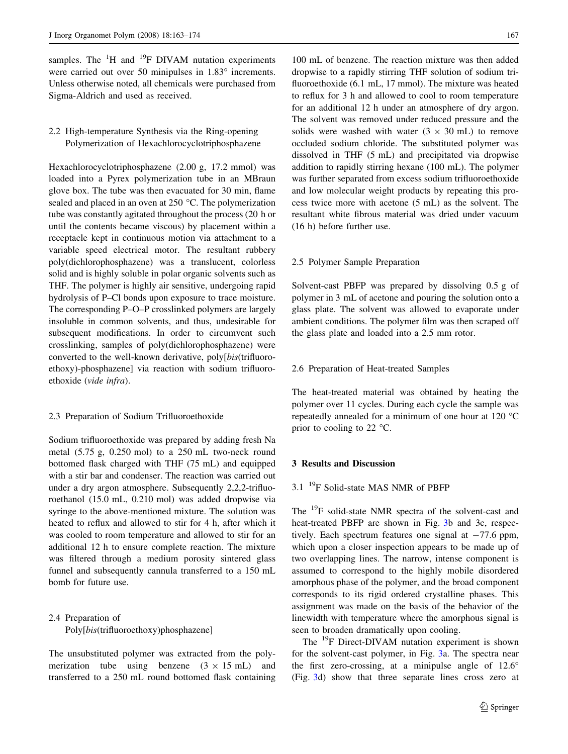samples. The  ${}^{1}H$  and  ${}^{19}F$  DIVAM nutation experiments were carried out over 50 minipulses in  $1.83^\circ$  increments. Unless otherwise noted, all chemicals were purchased from Sigma-Aldrich and used as received.

### 2.2 High-temperature Synthesis via the Ring-opening Polymerization of Hexachlorocyclotriphosphazene

Hexachlorocyclotriphosphazene (2.00 g, 17.2 mmol) was loaded into a Pyrex polymerization tube in an MBraun glove box. The tube was then evacuated for 30 min, flame sealed and placed in an oven at  $250 \degree C$ . The polymerization tube was constantly agitated throughout the process (20 h or until the contents became viscous) by placement within a receptacle kept in continuous motion via attachment to a variable speed electrical motor. The resultant rubbery poly(dichlorophosphazene) was a translucent, colorless solid and is highly soluble in polar organic solvents such as THF. The polymer is highly air sensitive, undergoing rapid hydrolysis of P–Cl bonds upon exposure to trace moisture. The corresponding P–O–P crosslinked polymers are largely insoluble in common solvents, and thus, undesirable for subsequent modifications. In order to circumvent such crosslinking, samples of poly(dichlorophosphazene) were converted to the well-known derivative, poly[bis(trifluoroethoxy)-phosphazene] via reaction with sodium trifluoroethoxide (vide infra).

### 2.3 Preparation of Sodium Trifluoroethoxide

Sodium trifluoroethoxide was prepared by adding fresh Na metal (5.75 g, 0.250 mol) to a 250 mL two-neck round bottomed flask charged with THF (75 mL) and equipped with a stir bar and condenser. The reaction was carried out under a dry argon atmosphere. Subsequently 2,2,2-trifluoroethanol (15.0 mL, 0.210 mol) was added dropwise via syringe to the above-mentioned mixture. The solution was heated to reflux and allowed to stir for 4 h, after which it was cooled to room temperature and allowed to stir for an additional 12 h to ensure complete reaction. The mixture was filtered through a medium porosity sintered glass funnel and subsequently cannula transferred to a 150 mL bomb for future use.

# 2.4 Preparation of Poly[bis(trifluoroethoxy)phosphazene]

The unsubstituted polymer was extracted from the polymerization tube using benzene  $(3 \times 15 \text{ mL})$  and transferred to a 250 mL round bottomed flask containing

100 mL of benzene. The reaction mixture was then added dropwise to a rapidly stirring THF solution of sodium trifluoroethoxide (6.1 mL, 17 mmol). The mixture was heated to reflux for 3 h and allowed to cool to room temperature for an additional 12 h under an atmosphere of dry argon. The solvent was removed under reduced pressure and the solids were washed with water  $(3 \times 30 \text{ mL})$  to remove occluded sodium chloride. The substituted polymer was dissolved in THF (5 mL) and precipitated via dropwise addition to rapidly stirring hexane (100 mL). The polymer was further separated from excess sodium trifluoroethoxide and low molecular weight products by repeating this process twice more with acetone (5 mL) as the solvent. The resultant white fibrous material was dried under vacuum (16 h) before further use.

### 2.5 Polymer Sample Preparation

Solvent-cast PBFP was prepared by dissolving 0.5 g of polymer in 3 mL of acetone and pouring the solution onto a glass plate. The solvent was allowed to evaporate under ambient conditions. The polymer film was then scraped off the glass plate and loaded into a 2.5 mm rotor.

#### 2.6 Preparation of Heat-treated Samples

The heat-treated material was obtained by heating the polymer over 11 cycles. During each cycle the sample was repeatedly annealed for a minimum of one hour at 120  $^{\circ}$ C prior to cooling to 22  $\degree$ C.

#### 3 Results and Discussion

### 3.1<sup>19</sup>F Solid-state MAS NMR of PBFP

The 19F solid-state NMR spectra of the solvent-cast and heat-treated PBFP are shown in Fig. [3](#page-5-0)b and 3c, respectively. Each spectrum features one signal at  $-77.6$  ppm, which upon a closer inspection appears to be made up of two overlapping lines. The narrow, intense component is assumed to correspond to the highly mobile disordered amorphous phase of the polymer, and the broad component corresponds to its rigid ordered crystalline phases. This assignment was made on the basis of the behavior of the linewidth with temperature where the amorphous signal is seen to broaden dramatically upon cooling.

The <sup>19</sup>F Direct-DIVAM nutation experiment is shown for the solvent-cast polymer, in Fig. [3a](#page-5-0). The spectra near the first zero-crossing, at a minipulse angle of  $12.6^\circ$ (Fig. [3d](#page-5-0)) show that three separate lines cross zero at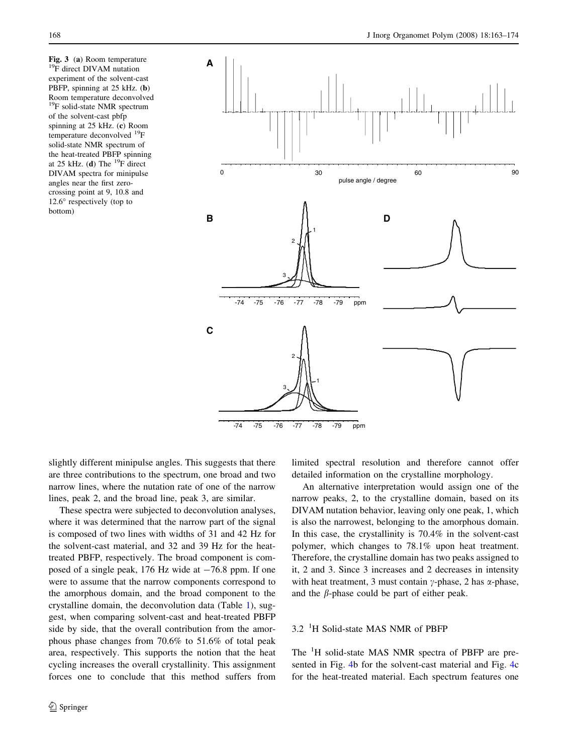<span id="page-5-0"></span>**Fig. 3** (a) Room temperature <sup>19</sup>F direct DIVAM nutation experiment of the solvent-cast PBFP, spinning at 25 kHz. (b) Room temperature deconvolved 19F solid-state NMR spectrum of the solvent-cast pbfp spinning at 25 kHz. (c) Room temperature deconvolved <sup>19</sup>F solid-state NMR spectrum of the heat-treated PBFP spinning at 25 kHz. (d) The  $^{19}$ F direct DIVAM spectra for minipulse angles near the first zerocrossing point at 9, 10.8 and  $12.6^\circ$  respectively (top to bottom)



slightly different minipulse angles. This suggests that there are three contributions to the spectrum, one broad and two narrow lines, where the nutation rate of one of the narrow lines, peak 2, and the broad line, peak 3, are similar.

These spectra were subjected to deconvolution analyses, where it was determined that the narrow part of the signal is composed of two lines with widths of 31 and 42 Hz for the solvent-cast material, and 32 and 39 Hz for the heattreated PBFP, respectively. The broad component is composed of a single peak, 176 Hz wide at  $-76.8$  ppm. If one were to assume that the narrow components correspond to the amorphous domain, and the broad component to the crystalline domain, the deconvolution data (Table [1\)](#page-6-0), suggest, when comparing solvent-cast and heat-treated PBFP side by side, that the overall contribution from the amorphous phase changes from 70.6% to 51.6% of total peak area, respectively. This supports the notion that the heat cycling increases the overall crystallinity. This assignment forces one to conclude that this method suffers from limited spectral resolution and therefore cannot offer detailed information on the crystalline morphology.

An alternative interpretation would assign one of the narrow peaks, 2, to the crystalline domain, based on its DIVAM nutation behavior, leaving only one peak, 1, which is also the narrowest, belonging to the amorphous domain. In this case, the crystallinity is 70.4% in the solvent-cast polymer, which changes to 78.1% upon heat treatment. Therefore, the crystalline domain has two peaks assigned to it, 2 and 3. Since 3 increases and 2 decreases in intensity with heat treatment, 3 must contain  $\gamma$ -phase, 2 has  $\alpha$ -phase, and the  $\beta$ -phase could be part of either peak.

# 3.2 <sup>1</sup> H Solid-state MAS NMR of PBFP

The <sup>1</sup>H solid-state MAS NMR spectra of PBFP are presented in Fig. [4b](#page-7-0) for the solvent-cast material and Fig. [4c](#page-7-0) for the heat-treated material. Each spectrum features one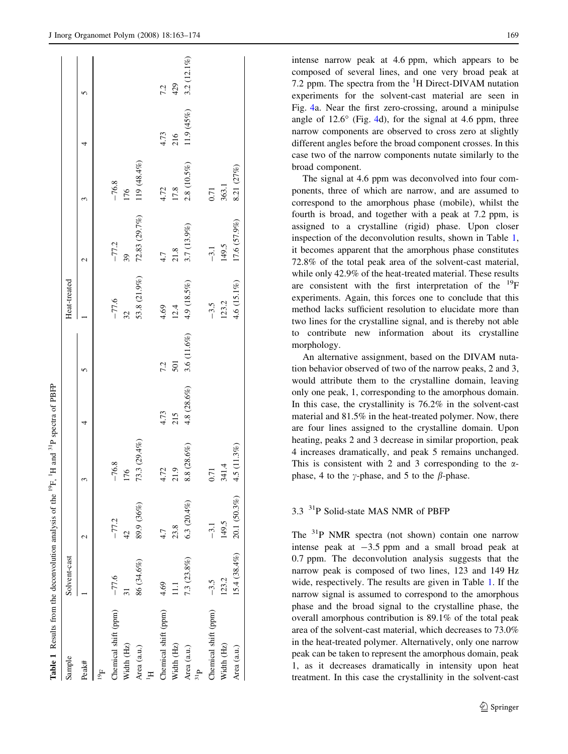<span id="page-6-0"></span>

| Sample                       | Solvent-cast   |                  |              |               |             | Heat-treated |               |                 |            |               |
|------------------------------|----------------|------------------|--------------|---------------|-------------|--------------|---------------|-----------------|------------|---------------|
| Peak#                        |                | $\mathrel{\sim}$ |              | 4             | 5           |              | 2             |                 |            | 5             |
| $\vec{e}$                    |                |                  |              |               |             |              |               |                 |            |               |
| Chemical shift (ppm)         | $-77.6$        | $-77.2$          | $-76.8$      |               |             | $-77.6$      | $-77.2$       | $-76.8$         |            |               |
| Width (Hz)                   |                | 42               | 176          |               |             | 32           | 39            | 176             |            |               |
| Area (a.u.)                  | 86 (34.6%)     | 89.9 (36%)       | 73.3 (29.4%) |               |             | 53.8 (21.9%) | 72.83 (29.7%) | 119 (48.4%)     |            |               |
| Chemical shift (ppm)         | 4.69           | 4.7              | 4.72         | 4.73          | 7.2         | 4.69         | 4.7           | 4.72            | 4.73       | 7.2           |
| Width (Hz)                   | Ξ              | 23.8             | 21.9         | 215           | 501         | 12.4         | 21.8          | 17.8            | 216        | 429           |
| Area (a.u.)<br>$\frac{a}{b}$ | 7.3 (23.8%)    | $6.3(20.4\%)$    | 8.8 (28.6%)  | $4.8(28.6\%)$ | 3.6 (11.6%) | 4.9 (18.5%)  | 3.7 (13.9%)   | $2.8\ (10.5\%)$ | 11.9 (45%) | $3.2(12.1\%)$ |
| Chemical shift (ppm)         | $-3.5$         | $-3.1$           | 0.71         |               |             | $-3.5$       | $-3.1$        | 0.71            |            |               |
| Width (Hz)                   | 123.2          | 149.5            | 341.4        |               |             | 123.2        | 149.5         | 363.1           |            |               |
| Area (a.u.)                  | $15.4(38.4\%)$ | 20.1 (50.3%)     | 4.5 (11.3%)  |               |             | 4.6 (15.1%)  | 17.6 (57.9%)  | $8.21$ $(27\%)$ |            |               |

intense narrow peak at 4.6 ppm, which appears to be composed of several lines, and one very broad peak at 7.2 ppm. The spectra from the  ${}^{1}H$  Direct-DIVAM nutation experiments for the solvent-cast material are seen in Fig. [4](#page-7-0)a. Near the first zero-crossing, around a minipulse angle of  $12.6^{\circ}$  (Fig. [4](#page-7-0)d), for the signal at 4.6 ppm, three narrow components are observed to cross zero at slightly different angles before the broad component crosses. In this case two of the narrow components nutate similarly to the broad component.

The signal at 4.6 ppm was deconvolved into four components, three of which are narrow, and are assumed to correspond to the amorphous phase (mobile), whilst the fourth is broad, and together with a peak at 7.2 ppm, is assigned to a crystalline (rigid) phase. Upon closer inspection of the deconvolution results, shown in Table 1, it becomes apparent that the amorphous phase constitutes 72.8% of the total peak area of the solvent-cast material, while only 42.9% of the heat-treated material. These results are consistent with the first interpretation of the  $^{19}F$ experiments. Again, this forces one to conclude that this method lacks sufficient resolution to elucidate more than two lines for the crystalline signal, and is thereby not able to contribute new information about its crystalline morphology.

An alternative assignment, based on the DIVAM nutation behavior observed of two of the narrow peaks, 2 and 3, would attribute them to the crystalline domain, leaving only one peak, 1, corresponding to the amorphous domain. In this case, the crystallinity is 76.2% in the solvent-cast material and 81.5% in the heat-treated polymer. Now, there are four lines assigned to the crystalline domain. Upon heating, peaks 2 and 3 decrease in similar proportion, peak 4 increases dramatically, and peak 5 remains unchanged. This is consistent with 2 and 3 corresponding to the  $\alpha$ phase, 4 to the  $\gamma$ -phase, and 5 to the  $\beta$ -phase.

## 3.3<sup>31</sup>P Solid-state MAS NMR of PBFP

The <sup>31</sup>P NMR spectra (not shown) contain one narrow intense peak at  $-3.5$  ppm and a small broad peak at 0.7 ppm. The deconvolution analysis suggests that the narrow peak is composed of two lines, 123 and 149 Hz wide, respectively. The results are given in Table 1. If the narrow signal is assumed to correspond to the amorphous phase and the broad signal to the crystalline phase, the overall amorphous contribution is 89.1% of the total peak area of the solvent-cast material, which decreases to 73.0% in the heat-treated polymer. Alternatively, only one narrow peak can be taken to represent the amorphous domain, peak 1, as it decreases dramatically in intensity upon heat treatment. In this case the crystallinity in the solvent-cast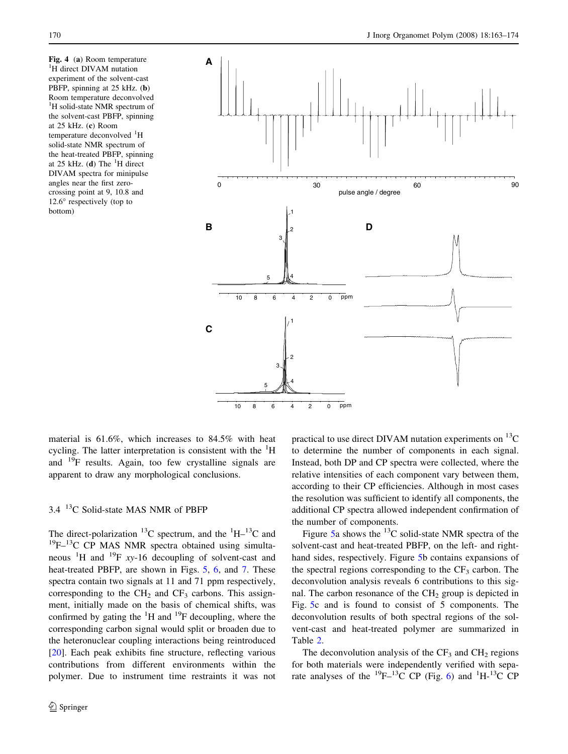<span id="page-7-0"></span>Fig. 4 (a) Room temperature <sup>1</sup>H direct DIVAM nutation experiment of the solvent-cast PBFP, spinning at 25 kHz. (b) Room temperature deconvolved <sup>1</sup>H solid-state NMR spectrum of the solvent-cast PBFP, spinning at 25 kHz. (c) Room temperature deconvolved <sup>1</sup>H solid-state NMR spectrum of the heat-treated PBFP, spinning at 25 kHz. (d) The  ${}^{1}$ H direct DIVAM spectra for minipulse angles near the first zerocrossing point at 9, 10.8 and  $12.6^\circ$  respectively (top to bottom)



material is 61.6%, which increases to 84.5% with heat cycling. The latter interpretation is consistent with the <sup>1</sup>H and 19F results. Again, too few crystalline signals are apparent to draw any morphological conclusions.

## 3.4 13C Solid-state MAS NMR of PBFP

The direct-polarization  $^{13}$ C spectrum, and the  $^{1}$ H $^{13}$ C and  $19F-13C$  CP MAS NMR spectra obtained using simultaneous  ${}^{1}H$  and  ${}^{19}F$  xy-16 decoupling of solvent-cast and heat-treated PBFP, are shown in Figs. [5,](#page-8-0) [6](#page-8-0), and [7.](#page-9-0) These spectra contain two signals at 11 and 71 ppm respectively, corresponding to the  $CH<sub>2</sub>$  and  $CF<sub>3</sub>$  carbons. This assignment, initially made on the basis of chemical shifts, was confirmed by gating the  ${}^{1}H$  and  ${}^{19}F$  decoupling, where the corresponding carbon signal would split or broaden due to the heteronuclear coupling interactions being reintroduced [\[20](#page-11-0)]. Each peak exhibits fine structure, reflecting various contributions from different environments within the polymer. Due to instrument time restraints it was not practical to use direct DIVAM nutation experiments on  $^{13}$ C to determine the number of components in each signal. Instead, both DP and CP spectra were collected, where the relative intensities of each component vary between them, according to their CP efficiencies. Although in most cases the resolution was sufficient to identify all components, the additional CP spectra allowed independent confirmation of the number of components.

Figure [5a](#page-8-0) shows the  $^{13}$ C solid-state NMR spectra of the solvent-cast and heat-treated PBFP, on the left- and righthand sides, respectively. Figure [5](#page-8-0)b contains expansions of the spectral regions corresponding to the  $CF_3$  carbon. The deconvolution analysis reveals 6 contributions to this signal. The carbon resonance of the  $CH<sub>2</sub>$  group is depicted in Fig. [5](#page-8-0)c and is found to consist of 5 components. The deconvolution results of both spectral regions of the solvent-cast and heat-treated polymer are summarized in Table [2](#page-9-0).

The deconvolution analysis of the  $CF_3$  and  $CH_2$  regions for both materials were independently verified with sepa-rate analyses of the <sup>19</sup>F-<sup>13</sup>C CP (Fig. [6](#page-8-0)) and <sup>1</sup>H-<sup>13</sup>C CP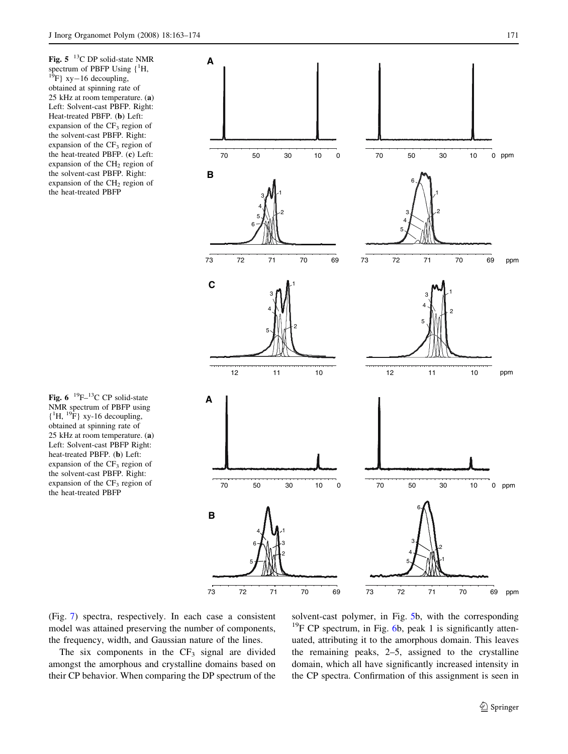<span id="page-8-0"></span>Fig.  $5^{-13}$ C DP solid-state NMR spectrum of PBFP Using  $\{{}^{1}H,$ <br> ${}^{19}F\}$  xy-16 decoupling, obtained at spinning rate of 25 kHz at room temperature. (a) Left: Solvent-cast PBFP. Right: Heat-treated PBFP. (b) Left: expansion of the  $CF_3$  region of the solvent-cast PBFP. Right: expansion of the  $CF_3$  region of the heat-treated PBFP. (c) Left: expansion of the  $CH<sub>2</sub>$  region of the solvent-cast PBFP. Right: expansion of the  $CH<sub>2</sub>$  region of the heat-treated PBFP

Fig. 6  $^{19}F-^{13}C$  CP solid-state NMR spectrum of PBFP using  ${^{14}H, {^{19}F}}$  xy-16 decoupling, obtained at spinning rate of 25 kHz at room temperature. (a) Left: Solvent-cast PBFP Right: heat-treated PBFP. (b) Left: expansion of the  $CF_3$  region of the solvent-cast PBFP. Right: expansion of the CF<sub>3</sub> region of the heat-treated PBFP



(Fig. [7](#page-9-0)) spectra, respectively. In each case a consistent model was attained preserving the number of components, the frequency, width, and Gaussian nature of the lines.

The six components in the  $CF_3$  signal are divided amongst the amorphous and crystalline domains based on their CP behavior. When comparing the DP spectrum of the solvent-cast polymer, in Fig. 5b, with the corresponding  $19F$  CP spectrum, in Fig. 6b, peak 1 is significantly attenuated, attributing it to the amorphous domain. This leaves the remaining peaks, 2–5, assigned to the crystalline domain, which all have significantly increased intensity in the CP spectra. Confirmation of this assignment is seen in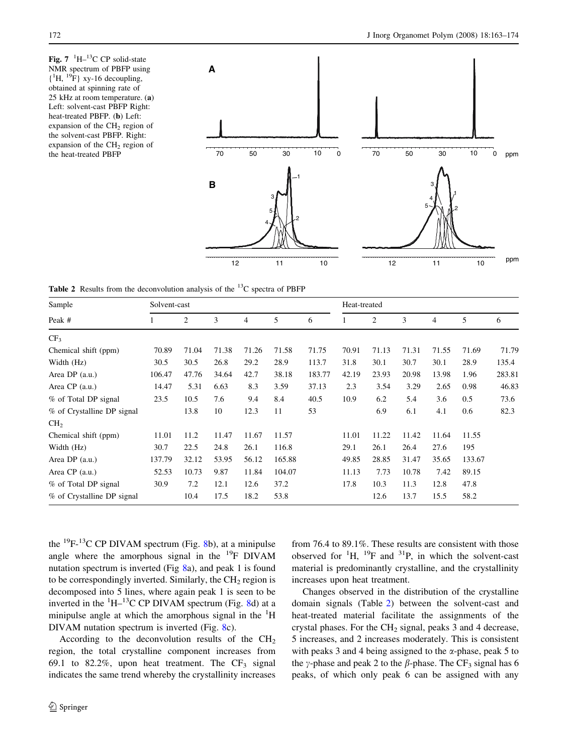<span id="page-9-0"></span>Fig.  $7 \text{ } ^1\text{H} - ^{13}\text{C}$  CP solid-state NMR spectrum of PBFP using  ${^{14}H, {^{19}F}}$  xy-16 decoupling, obtained at spinning rate of 25 kHz at room temperature. (a) Left: solvent-cast PBFP Right: heat-treated PBFP. (b) Left: expansion of the  $CH<sub>2</sub>$  region of the solvent-cast PBFP. Right: expansion of the  $CH<sub>2</sub>$  region of the heat-treated PBFP



**Table 2** Results from the deconvolution analysis of the  $^{13}$ C spectra of PBFP

| Sample                     | Solvent-cast |       |       |       |        |        | Heat-treated |       |       |                |        |        |
|----------------------------|--------------|-------|-------|-------|--------|--------|--------------|-------|-------|----------------|--------|--------|
| Peak #                     | 1            | 2     | 3     | 4     | 5      | 6      |              | 2     | 3     | $\overline{4}$ | 5      | 6      |
| CF <sub>3</sub>            |              |       |       |       |        |        |              |       |       |                |        |        |
| Chemical shift (ppm)       | 70.89        | 71.04 | 71.38 | 71.26 | 71.58  | 71.75  | 70.91        | 71.13 | 71.31 | 71.55          | 71.69  | 71.79  |
| Width (Hz)                 | 30.5         | 30.5  | 26.8  | 29.2  | 28.9   | 113.7  | 31.8         | 30.1  | 30.7  | 30.1           | 28.9   | 135.4  |
| Area DP (a.u.)             | 106.47       | 47.76 | 34.64 | 42.7  | 38.18  | 183.77 | 42.19        | 23.93 | 20.98 | 13.98          | 1.96   | 283.81 |
| Area CP (a.u.)             | 14.47        | 5.31  | 6.63  | 8.3   | 3.59   | 37.13  | 2.3          | 3.54  | 3.29  | 2.65           | 0.98   | 46.83  |
| % of Total DP signal       | 23.5         | 10.5  | 7.6   | 9.4   | 8.4    | 40.5   | 10.9         | 6.2   | 5.4   | 3.6            | 0.5    | 73.6   |
| % of Crystalline DP signal |              | 13.8  | 10    | 12.3  | 11     | 53     |              | 6.9   | 6.1   | 4.1            | 0.6    | 82.3   |
| CH <sub>2</sub>            |              |       |       |       |        |        |              |       |       |                |        |        |
| Chemical shift (ppm)       | 11.01        | 11.2  | 11.47 | 11.67 | 11.57  |        | 11.01        | 11.22 | 11.42 | 11.64          | 11.55  |        |
| Width (Hz)                 | 30.7         | 22.5  | 24.8  | 26.1  | 116.8  |        | 29.1         | 26.1  | 26.4  | 27.6           | 195    |        |
| Area DP (a.u.)             | 137.79       | 32.12 | 53.95 | 56.12 | 165.88 |        | 49.85        | 28.85 | 31.47 | 35.65          | 133.67 |        |
| Area CP (a.u.)             | 52.53        | 10.73 | 9.87  | 11.84 | 104.07 |        | 11.13        | 7.73  | 10.78 | 7.42           | 89.15  |        |
| % of Total DP signal       | 30.9         | 7.2   | 12.1  | 12.6  | 37.2   |        | 17.8         | 10.3  | 11.3  | 12.8           | 47.8   |        |
| % of Crystalline DP signal |              | 10.4  | 17.5  | 18.2  | 53.8   |        |              | 12.6  | 13.7  | 15.5           | 58.2   |        |

the  $^{19}F^{-13}C$  CP DIVAM spectrum (Fig. [8](#page-10-0)b), at a minipulse angle where the amorphous signal in the  $^{19}F$  DIVAM nutation spectrum is inverted (Fig [8](#page-10-0)a), and peak 1 is found to be correspondingly inverted. Similarly, the  $CH<sub>2</sub>$  region is decomposed into 5 lines, where again peak 1 is seen to be inverted in the  $\mathrm{^{1}H-^{13}C}$  CP DIVAM spectrum (Fig. [8d](#page-10-0)) at a minipulse angle at which the amorphous signal in the  ${}^{1}H$ DIVAM nutation spectrum is inverted (Fig. [8c](#page-10-0)).

According to the deconvolution results of the  $CH<sub>2</sub>$ region, the total crystalline component increases from 69.1 to 82.2%, upon heat treatment. The  $CF_3$  signal indicates the same trend whereby the crystallinity increases from 76.4 to 89.1%. These results are consistent with those observed for  ${}^{1}H$ ,  ${}^{19}F$  and  ${}^{31}P$ , in which the solvent-cast material is predominantly crystalline, and the crystallinity increases upon heat treatment.

Changes observed in the distribution of the crystalline domain signals (Table 2) between the solvent-cast and heat-treated material facilitate the assignments of the crystal phases. For the  $CH<sub>2</sub>$  signal, peaks 3 and 4 decrease, 5 increases, and 2 increases moderately. This is consistent with peaks 3 and 4 being assigned to the  $\alpha$ -phase, peak 5 to the y-phase and peak 2 to the  $\beta$ -phase. The CF<sub>3</sub> signal has 6 peaks, of which only peak 6 can be assigned with any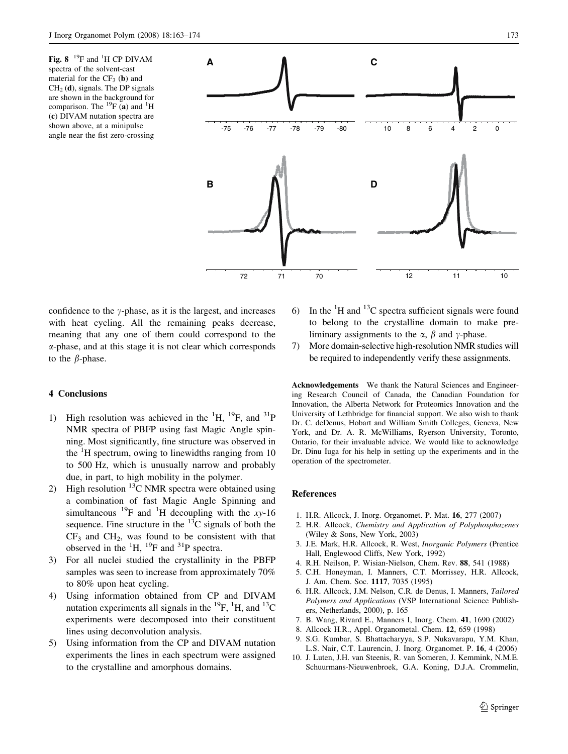<span id="page-10-0"></span>Fig.  $8^{-19}$ F and <sup>1</sup>H CP DIVAM spectra of the solvent-cast material for the  $CF<sub>3</sub>$  (b) and  $CH<sub>2</sub>$  (d), signals. The DP signals are shown in the background for comparison. The  $^{19}F$  (a) and <sup>1</sup>H (c) DIVAM nutation spectra are shown above, at a minipulse angle near the fist zero-crossing



confidence to the  $\gamma$ -phase, as it is the largest, and increases with heat cycling. All the remaining peaks decrease, meaning that any one of them could correspond to the a-phase, and at this stage it is not clear which corresponds to the  $\beta$ -phase.

### 4 Conclusions

- 1) High resolution was achieved in the  ${}^{1}H$ ,  ${}^{19}F$ , and  ${}^{31}P$ NMR spectra of PBFP using fast Magic Angle spinning. Most significantly, fine structure was observed in the  ${}^{1}H$  spectrum, owing to linewidths ranging from 10 to 500 Hz, which is unusually narrow and probably due, in part, to high mobility in the polymer.
- 2) High resolution  $^{13}$ C NMR spectra were obtained using a combination of fast Magic Angle Spinning and simultaneous <sup>19</sup>F and <sup>1</sup>H decoupling with the xy-16 sequence. Fine structure in the  $^{13}$ C signals of both the  $CF<sub>3</sub>$  and  $CH<sub>2</sub>$ , was found to be consistent with that observed in the  ${}^{1}H$ ,  ${}^{19}F$  and  ${}^{31}P$  spectra.
- 3) For all nuclei studied the crystallinity in the PBFP samples was seen to increase from approximately 70% to 80% upon heat cycling.
- 4) Using information obtained from CP and DIVAM nutation experiments all signals in the  $^{19}F$ ,  $^{1}H$ , and  $^{13}C$ experiments were decomposed into their constituent lines using deconvolution analysis.
- 5) Using information from the CP and DIVAM nutation experiments the lines in each spectrum were assigned to the crystalline and amorphous domains.
- 6) In the  ${}^{1}H$  and  ${}^{13}C$  spectra sufficient signals were found to belong to the crystalline domain to make preliminary assignments to the  $\alpha$ ,  $\beta$  and  $\gamma$ -phase.
- 7) More domain-selective high-resolution NMR studies will be required to independently verify these assignments.

Acknowledgements We thank the Natural Sciences and Engineering Research Council of Canada, the Canadian Foundation for Innovation, the Alberta Network for Proteomics Innovation and the University of Lethbridge for financial support. We also wish to thank Dr. C. deDenus, Hobart and William Smith Colleges, Geneva, New York, and Dr. A. R. McWilliams, Ryerson University, Toronto, Ontario, for their invaluable advice. We would like to acknowledge Dr. Dinu Iuga for his help in setting up the experiments and in the operation of the spectrometer.

### References

- 1. H.R. Allcock, J. Inorg. Organomet. P. Mat. 16, 277 (2007)
- 2. H.R. Allcock, Chemistry and Application of Polyphosphazenes (Wiley & Sons, New York, 2003)
- 3. J.E. Mark, H.R. Allcock, R. West, Inorganic Polymers (Prentice Hall, Englewood Cliffs, New York, 1992)
- 4. R.H. Neilson, P. Wisian-Nielson, Chem. Rev. 88, 541 (1988)
- 5. C.H. Honeyman, I. Manners, C.T. Morrissey, H.R. Allcock, J. Am. Chem. Soc. 1117, 7035 (1995)
- 6. H.R. Allcock, J.M. Nelson, C.R. de Denus, I. Manners, Tailored Polymers and Applications (VSP International Science Publishers, Netherlands, 2000), p. 165
- 7. B. Wang, Rivard E., Manners I, Inorg. Chem. 41, 1690 (2002)
- 8. Allcock H.R., Appl. Organometal. Chem. 12, 659 (1998)
- 9. S.G. Kumbar, S. Bhattacharyya, S.P. Nukavarapu, Y.M. Khan, L.S. Nair, C.T. Laurencin, J. Inorg. Organomet. P. 16, 4 (2006)
- 10. J. Luten, J.H. van Steenis, R. van Someren, J. Kemmink, N.M.E. Schuurmans-Nieuwenbroek, G.A. Koning, D.J.A. Crommelin,